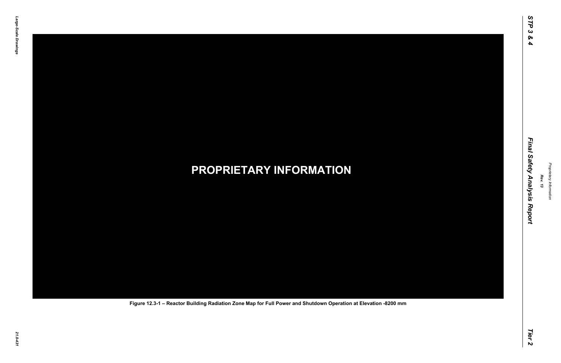## *21.0-431* **PROPRIETARY INFORMATION Figure 12.3-1 – Reactor Building Radiation Zone Map for Full Power and Shutdown Operation at Elevation -8200 mm**

*Rev. 13*

### *STP 3 & 4 Final Safety Analysis Report Tier 2* Final Safety Analysis Report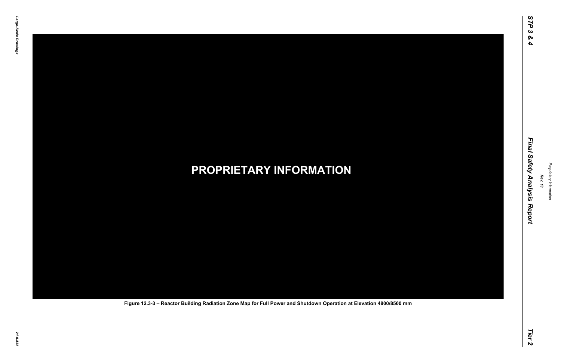*21.0-432* **PROPRIETARY INFORMATION Figure 12.3-3 – Reactor Building Radiation Zone Map for Full Power and Shutdown Operation at Elevation 4800/8500 mm**

*Rev. 13*

### *STP 3 & 4 Final Safety Analysis Report Tier 2* Final Safety Analysis Report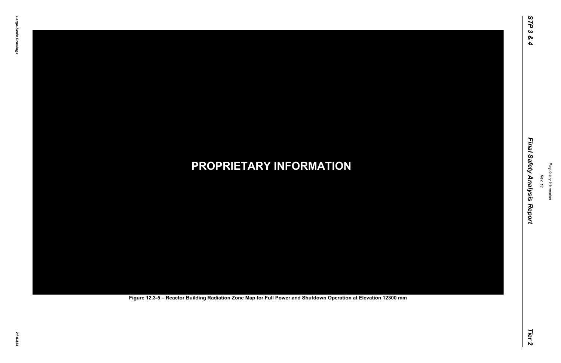# *21.0-433* **PROPRIETARY INFORMATION Figure 12.3-5 – Reactor Building Radiation Zone Map for Full Power and Shutdown Operation at Elevation 12300 mm**

*Rev. 13*

### *STP 3 & 4 Final Safety Analysis Report Tier 2* Final Safety Analysis Report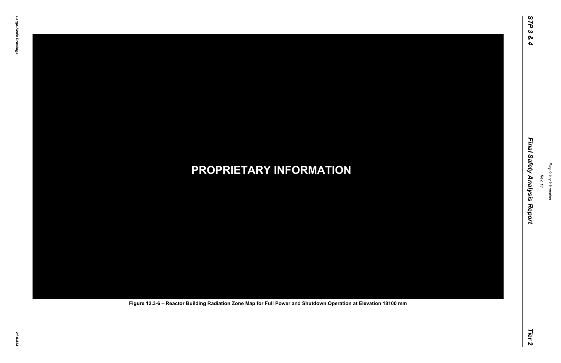## *21.0-434* **PROPRIETARY INFORMATION Figure 12.3-6 – Reactor Building Radiation Zone Map for Full Power and Shutdown Operation at Elevation 18100 mm**

*Rev. 13*

### *STP 3 & 4 Final Safety Analysis Report Tier 2* Final Safety Analysis Report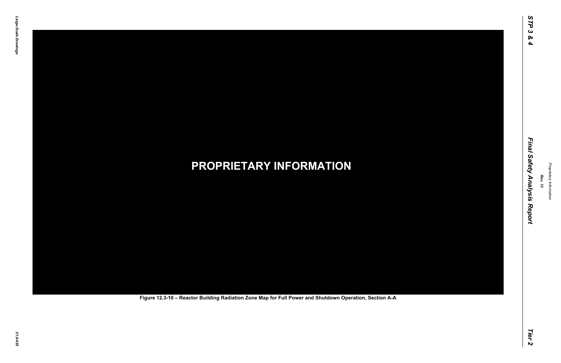# *21.0-435* **PROPRIETARY INFORMATION Figure 12.3-10 – Reactor Building Radiation Zone Map for Full Power and Shutdown Operation, Section A-A**

*Rev. 13*

### *STP 3 & 4 Final Safety Analysis Report Tier 2* Final Safety Analysis Report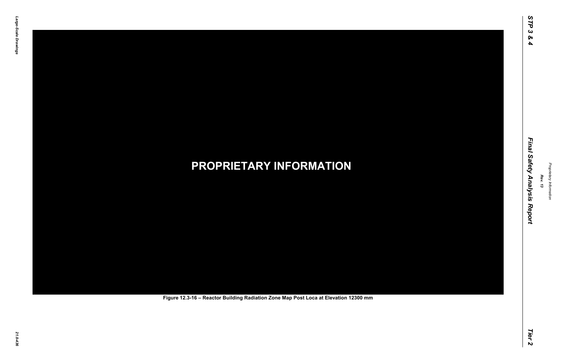# *21.0-436* **PROPRIETARY INFORMATION Figure 12.3-16 – Reactor Building Radiation Zone Map Post Loca at Elevation 12300 mm**

*Rev. 13*

### *STP 3 & 4 Final Safety Analysis Report Tier 2* Final Safety Analysis Report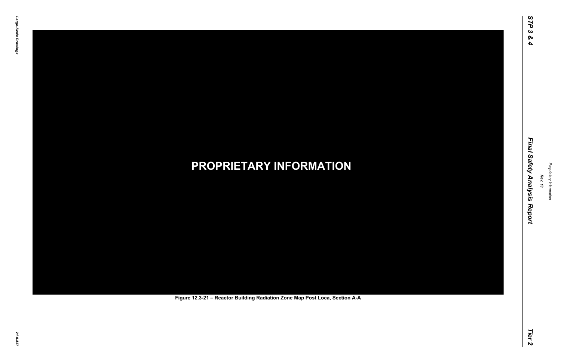# *21.0-437* **PROPRIETARY INFORMATION Figure 12.3-21 – Reactor Building Radiation Zone Map Post Loca, Section A-A**

*Rev. 13*

### *STP 3 & 4 Final Safety Analysis Report Tier 2* Final Safety Analysis Report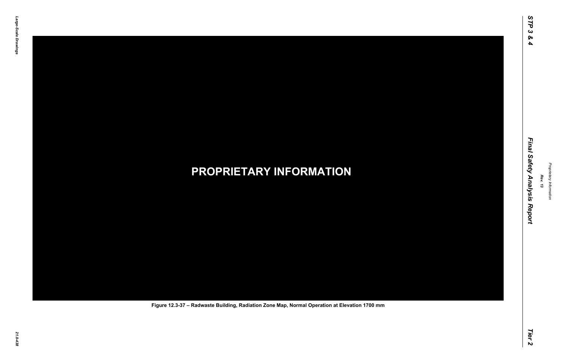## *21.0-438* **PROPRIETARY INFORMATION Figure 12.3-37 – Radwaste Building, Radiation Zone Map, Normal Operation at Elevation 1700 mm**

*Rev. 13*

### *STP 3 & 4 Final Safety Analysis Report Tier 2* Final Safety Analysis Report

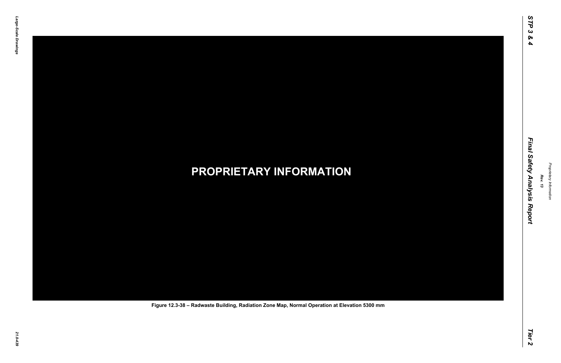## *21.0-439* **PROPRIETARY INFORMATION Figure 12.3-38 – Radwaste Building, Radiation Zone Map, Normal Operation at Elevation 5300 mm**

*Rev. 13*

### *STP 3 & 4 Final Safety Analysis Report Tier 2* Final Safety Analysis Report

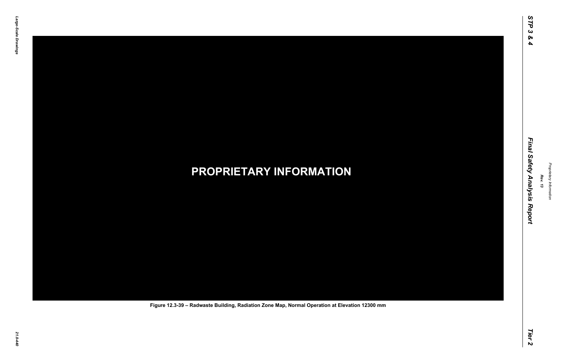## *21.0-440* **PROPRIETARY INFORMATION Figure 12.3-39 – Radwaste Building, Radiation Zone Map, Normal Operation at Elevation 12300 mm**

*Rev. 13*

### *STP 3 & 4 Final Safety Analysis Report Tier 2* Final Safety Analysis Report

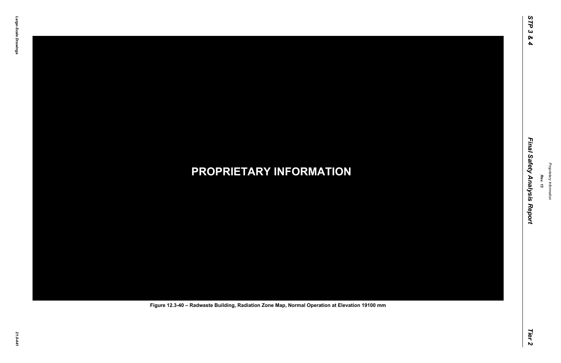## *21.0-441* **PROPRIETARY INFORMATION Figure 12.3-40 – Radwaste Building, Radiation Zone Map, Normal Operation at Elevation 19100 mm**

*Rev. 13*

### *STP 3 & 4 Final Safety Analysis Report Tier 2* Final Safety Analysis Report

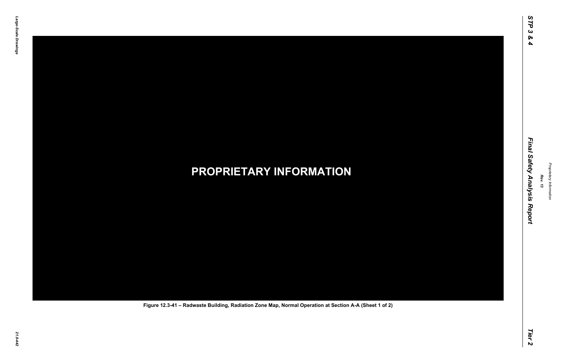## *21.0-442* **PROPRIETARY INFORMATION Figure 12.3-41 – Radwaste Building, Radiation Zone Map, Normal Operation at Section A-A (Sheet 1 of 2)**

*Rev. 13*

### *STP 3 & 4 Final Safety Analysis Report Tier 2* Final Safety Analysis Report

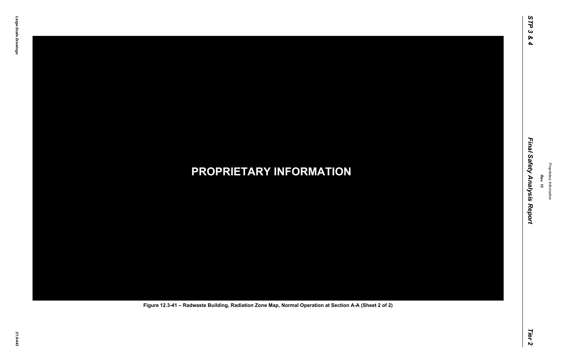## *21.0-443* **PROPRIETARY INFORMATION Figure 12.3-41 – Radwaste Building, Radiation Zone Map, Normal Operation at Section A-A (Sheet 2 of 2)**

*Rev. 13*

### *STP 3 & 4 Final Safety Analysis Report Tier 2* Final Safety Analysis Report

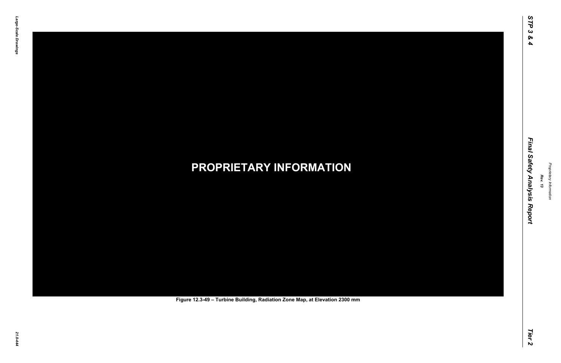# *21.0-444* **PROPRIETARY INFORMATION Figure 12.3-49 – Turbine Building, Radiation Zone Map, at Elevation 2300 mm**

*Rev. 13*

### *STP 3 & 4 Final Safety Analysis Report Tier 2* Final Safety Analysis Report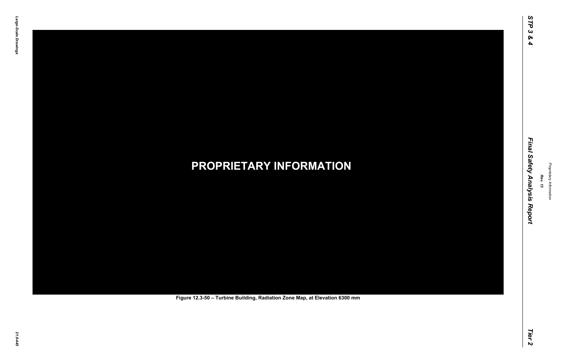# *21.0-445* **PROPRIETARY INFORMATION Figure 12.3-50 – Turbine Building, Radiation Zone Map, at Elevation 6300 mm**

*Rev. 13*

### *STP 3 & 4 Final Safety Analysis Report Tier 2* Final Safety Analysis Report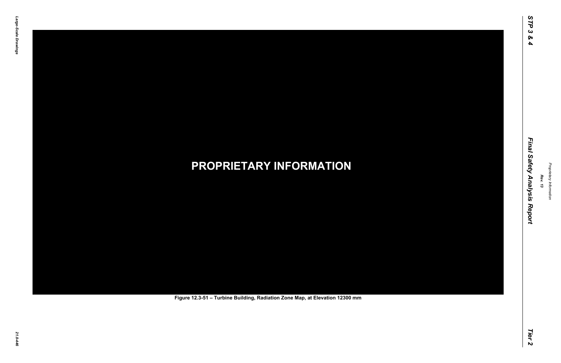# *21.0-446* **PROPRIETARY INFORMATION Figure 12.3-51 – Turbine Building, Radiation Zone Map, at Elevation 12300 mm**

*Rev. 13*

### *STP 3 & 4 Final Safety Analysis Report Tier 2* Final Safety Analysis Report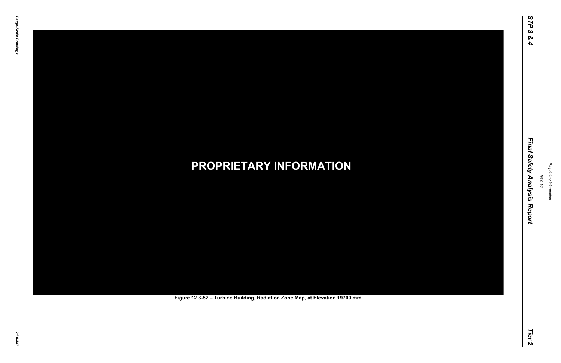# *21.0-447* **PROPRIETARY INFORMATION Figure 12.3-52 – Turbine Building, Radiation Zone Map, at Elevation 19700 mm**

*Rev. 13*

### *STP 3 & 4 Final Safety Analysis Report Tier 2* Final Safety Analysis Report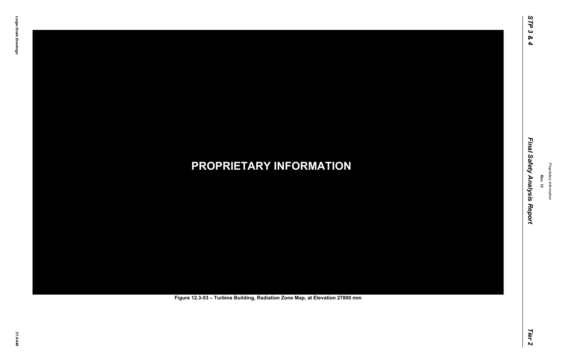# *21.0-448* **PROPRIETARY INFORMATION Figure 12.3-53 – Turbine Building, Radiation Zone Map, at Elevation 27800 mm**

*Rev. 13*

### *STP 3 & 4 Final Safety Analysis Report Tier 2* Final Safety Analysis Report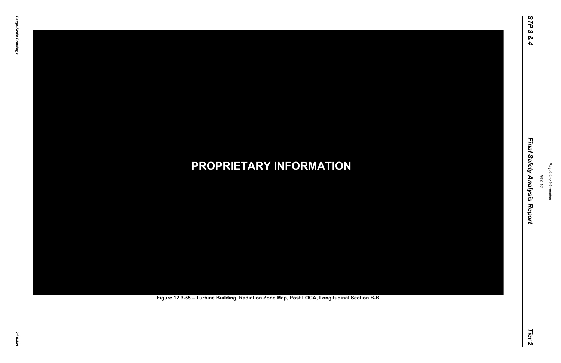# *21.0-449* **PROPRIETARY INFORMATION Figure 12.3-55 – Turbine Building, Radiation Zone Map, Post LOCA, Longitudinal Section B-B**

*Rev. 13*

### *STP 3 & 4 Final Safety Analysis Report Tier 2* Final Safety Analysis Report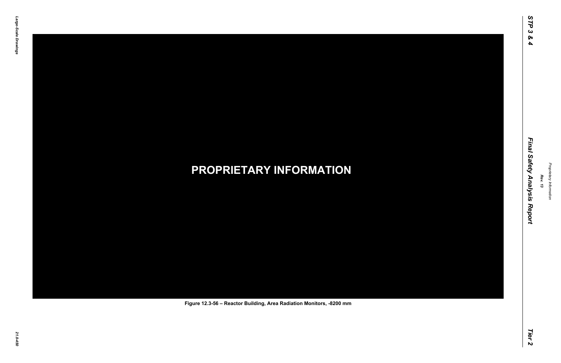## *21.0-450* **PROPRIETARY INFORMATION Figure 12.3-56 – Reactor Building, Area Radiation Monitors, -8200 mm**

*Rev. 13*

### *STP 3 & 4 Final Safety Analysis Report Tier 2* Final Safety Analysis Report